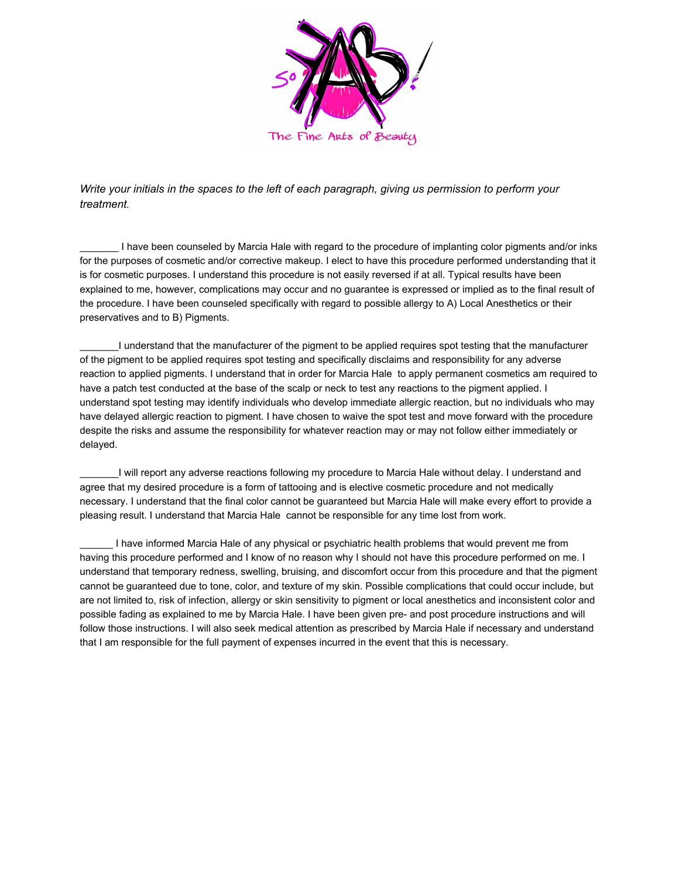

*Write your initials in the spaces to the left of each paragraph, giving us permission to perform your treatment.*

I have been counseled by Marcia Hale with regard to the procedure of implanting color pigments and/or inks for the purposes of cosmetic and/or corrective makeup. I elect to have this procedure performed understanding that it is for cosmetic purposes. I understand this procedure is not easily reversed if at all. Typical results have been explained to me, however, complications may occur and no guarantee is expressed or implied as to the final result of the procedure. I have been counseled specifically with regard to possible allergy to A) Local Anesthetics or their preservatives and to B) Pigments.

\_\_\_\_\_\_\_I understand that the manufacturer of the pigment to be applied requires spot testing that the manufacturer of the pigment to be applied requires spot testing and specifically disclaims and responsibility for any adverse reaction to applied pigments. I understand that in order for Marcia Hale to apply permanent cosmetics am required to have a patch test conducted at the base of the scalp or neck to test any reactions to the pigment applied. I understand spot testing may identify individuals who develop immediate allergic reaction, but no individuals who may have delayed allergic reaction to pigment. I have chosen to waive the spot test and move forward with the procedure despite the risks and assume the responsibility for whatever reaction may or may not follow either immediately or delayed.

\_\_\_\_\_\_\_I will report any adverse reactions following my procedure to Marcia Hale without delay. I understand and agree that my desired procedure is a form of tattooing and is elective cosmetic procedure and not medically necessary. I understand that the final color cannot be guaranteed but Marcia Hale will make every effort to provide a pleasing result. I understand that Marcia Hale cannot be responsible for any time lost from work.

I have informed Marcia Hale of any physical or psychiatric health problems that would prevent me from having this procedure performed and I know of no reason why I should not have this procedure performed on me. I understand that temporary redness, swelling, bruising, and discomfort occur from this procedure and that the pigment cannot be guaranteed due to tone, color, and texture of my skin. Possible complications that could occur include, but are not limited to, risk of infection, allergy or skin sensitivity to pigment or local anesthetics and inconsistent color and possible fading as explained to me by Marcia Hale. I have been given pre- and post procedure instructions and will follow those instructions. I will also seek medical attention as prescribed by Marcia Hale if necessary and understand that I am responsible for the full payment of expenses incurred in the event that this is necessary.